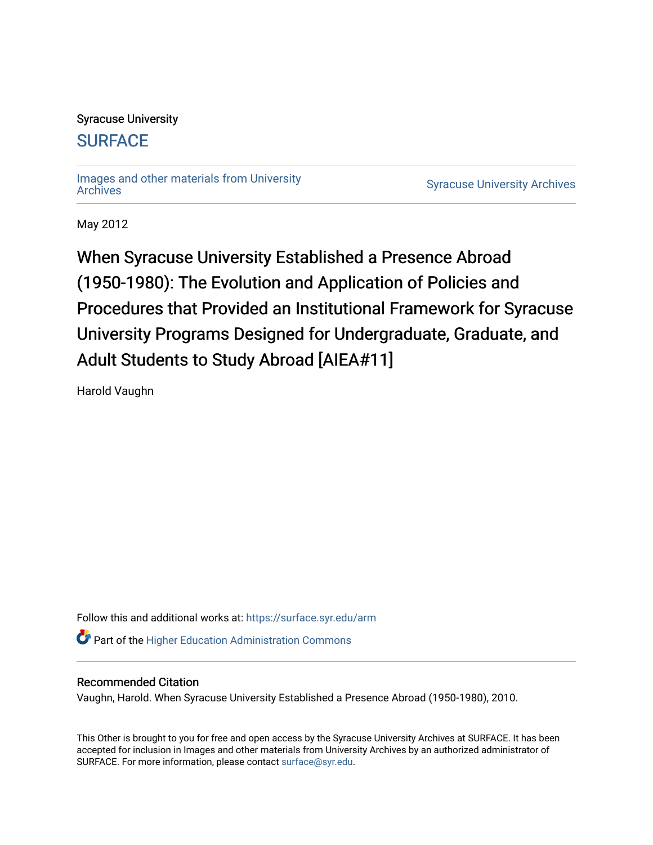## Syracuse University

## **[SURFACE](https://surface.syr.edu/)**

[Images and other materials from University](https://surface.syr.edu/arm) 

**Syracuse University [Archives](https://surface.syr.edu/arm)** 

May 2012

When Syracuse University Established a Presence Abroad (1950-1980): The Evolution and Application of Policies and Procedures that Provided an Institutional Framework for Syracuse University Programs Designed for Undergraduate, Graduate, and Adult Students to Study Abroad [AIEA#11]

Harold Vaughn

Follow this and additional works at: [https://surface.syr.edu/arm](https://surface.syr.edu/arm?utm_source=surface.syr.edu%2Farm%2F15&utm_medium=PDF&utm_campaign=PDFCoverPages) 

**Part of the Higher Education Administration Commons** 

## Recommended Citation

Vaughn, Harold. When Syracuse University Established a Presence Abroad (1950-1980), 2010.

This Other is brought to you for free and open access by the Syracuse University Archives at SURFACE. It has been accepted for inclusion in Images and other materials from University Archives by an authorized administrator of SURFACE. For more information, please contact [surface@syr.edu.](mailto:surface@syr.edu)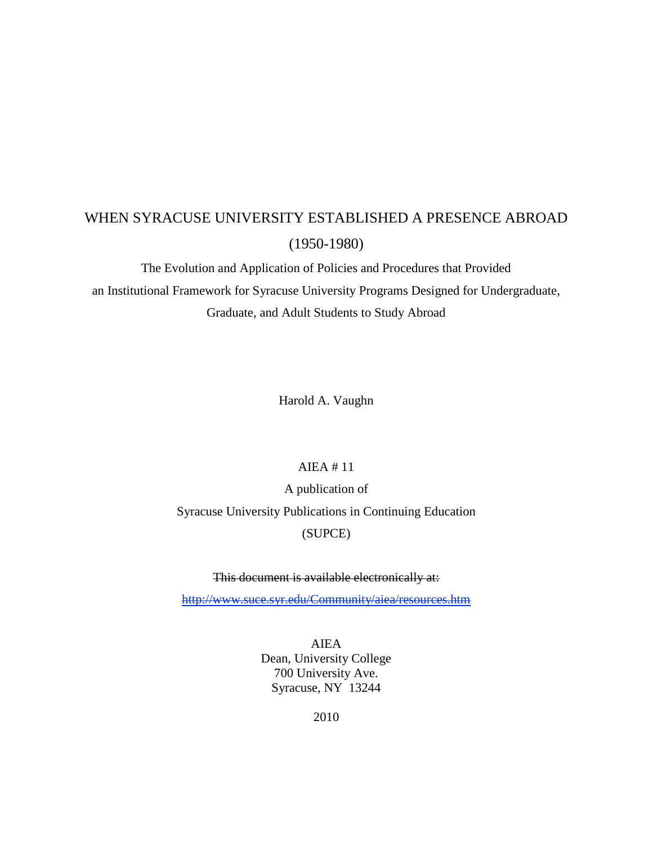# WHEN SYRACUSE UNIVERSITY ESTABLISHED A PRESENCE ABROAD (1950-1980)

The Evolution and Application of Policies and Procedures that Provided an Institutional Framework for Syracuse University Programs Designed for Undergraduate, Graduate, and Adult Students to Study Abroad

Harold A. Vaughn

## AIEA # 11

A publication of Syracuse University Publications in Continuing Education (SUPCE)

## This document is available electronically at:

<http://www.suce.syr.edu/Community/aiea/resources.htm>

AIEA Dean, University College 700 University Ave. Syracuse, NY 13244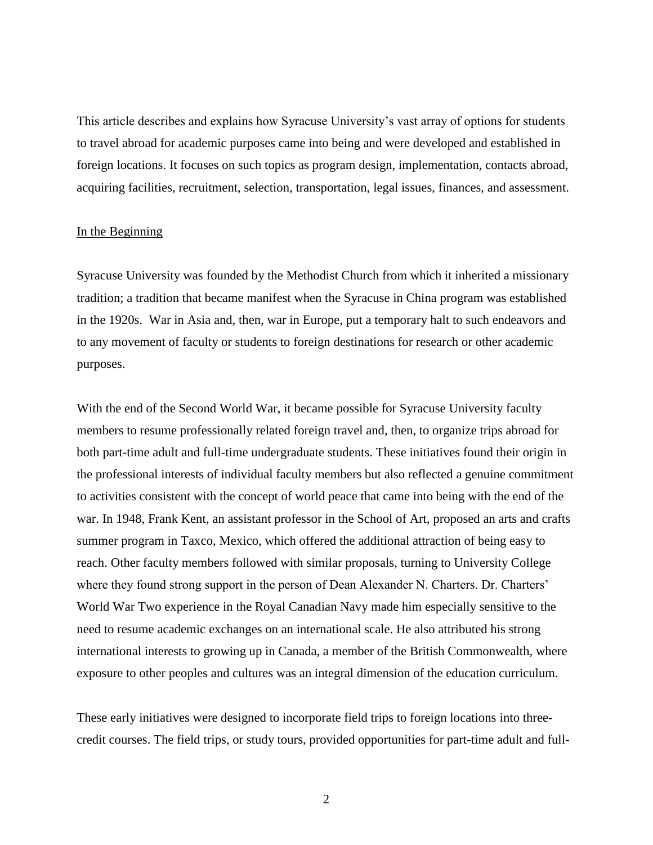This article describes and explains how Syracuse University's vast array of options for students to travel abroad for academic purposes came into being and were developed and established in foreign locations. It focuses on such topics as program design, implementation, contacts abroad, acquiring facilities, recruitment, selection, transportation, legal issues, finances, and assessment.

#### In the Beginning

Syracuse University was founded by the Methodist Church from which it inherited a missionary tradition; a tradition that became manifest when the Syracuse in China program was established in the 1920s. War in Asia and, then, war in Europe, put a temporary halt to such endeavors and to any movement of faculty or students to foreign destinations for research or other academic purposes.

With the end of the Second World War, it became possible for Syracuse University faculty members to resume professionally related foreign travel and, then, to organize trips abroad for both part-time adult and full-time undergraduate students. These initiatives found their origin in the professional interests of individual faculty members but also reflected a genuine commitment to activities consistent with the concept of world peace that came into being with the end of the war. In 1948, Frank Kent, an assistant professor in the School of Art, proposed an arts and crafts summer program in Taxco, Mexico, which offered the additional attraction of being easy to reach. Other faculty members followed with similar proposals, turning to University College where they found strong support in the person of Dean Alexander N. Charters. Dr. Charters' World War Two experience in the Royal Canadian Navy made him especially sensitive to the need to resume academic exchanges on an international scale. He also attributed his strong international interests to growing up in Canada, a member of the British Commonwealth, where exposure to other peoples and cultures was an integral dimension of the education curriculum.

These early initiatives were designed to incorporate field trips to foreign locations into threecredit courses. The field trips, or study tours, provided opportunities for part-time adult and full-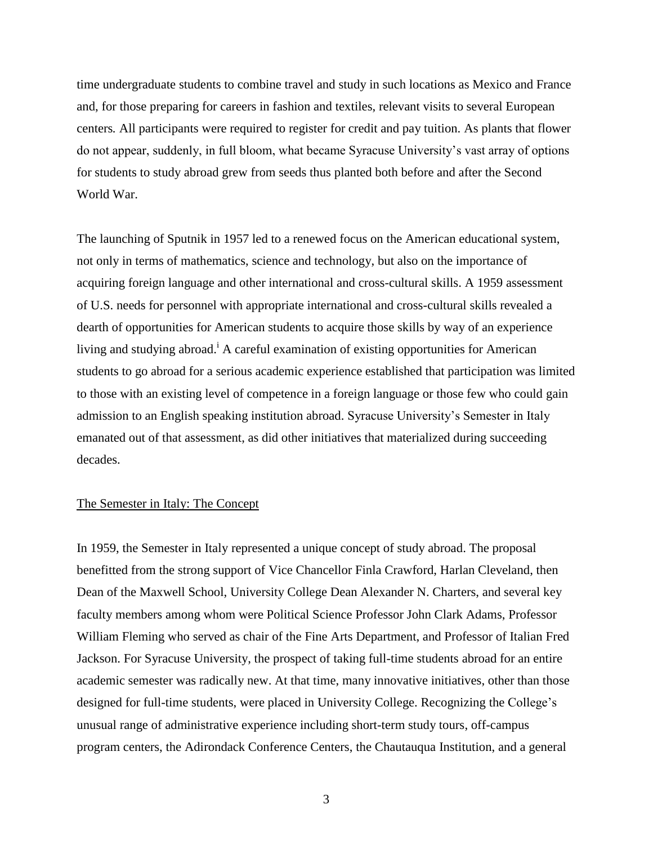time undergraduate students to combine travel and study in such locations as Mexico and France and, for those preparing for careers in fashion and textiles, relevant visits to several European centers*.* All participants were required to register for credit and pay tuition. As plants that flower do not appear, suddenly, in full bloom, what became Syracuse University's vast array of options for students to study abroad grew from seeds thus planted both before and after the Second World War.

The launching of Sputnik in 1957 led to a renewed focus on the American educational system, not only in terms of mathematics, science and technology, but also on the importance of acquiring foreign language and other international and cross-cultural skills. A 1959 assessment of U.S. needs for personnel with appropriate international and cross-cultural skills revealed a dearth of opportunities for American students to acquire those skills by way of an experience living and studying abroad.<sup>i</sup> A careful examination of existing opportunities for American students to go abroad for a serious academic experience established that participation was limited to those with an existing level of competence in a foreign language or those few who could gain admission to an English speaking institution abroad. Syracuse University's Semester in Italy emanated out of that assessment, as did other initiatives that materialized during succeeding decades.

### The Semester in Italy: The Concept

In 1959, the Semester in Italy represented a unique concept of study abroad. The proposal benefitted from the strong support of Vice Chancellor Finla Crawford, Harlan Cleveland, then Dean of the Maxwell School, University College Dean Alexander N. Charters, and several key faculty members among whom were Political Science Professor John Clark Adams, Professor William Fleming who served as chair of the Fine Arts Department, and Professor of Italian Fred Jackson. For Syracuse University, the prospect of taking full-time students abroad for an entire academic semester was radically new. At that time, many innovative initiatives, other than those designed for full-time students, were placed in University College. Recognizing the College's unusual range of administrative experience including short-term study tours, off-campus program centers, the Adirondack Conference Centers, the Chautauqua Institution, and a general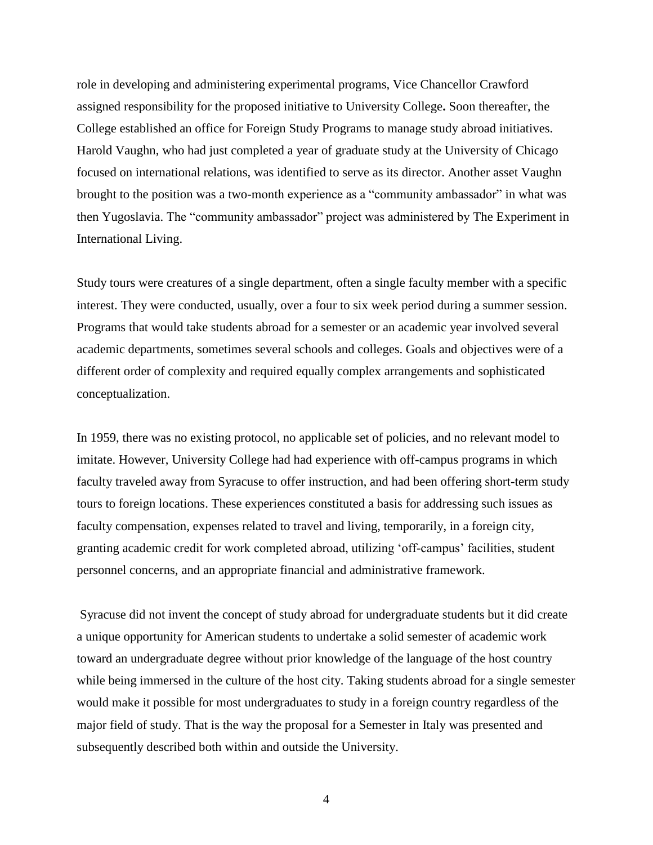role in developing and administering experimental programs, Vice Chancellor Crawford assigned responsibility for the proposed initiative to University College**.** Soon thereafter, the College established an office for Foreign Study Programs to manage study abroad initiatives. Harold Vaughn, who had just completed a year of graduate study at the University of Chicago focused on international relations, was identified to serve as its director. Another asset Vaughn brought to the position was a two-month experience as a "community ambassador" in what was then Yugoslavia. The "community ambassador" project was administered by The Experiment in International Living.

Study tours were creatures of a single department, often a single faculty member with a specific interest. They were conducted, usually, over a four to six week period during a summer session. Programs that would take students abroad for a semester or an academic year involved several academic departments, sometimes several schools and colleges. Goals and objectives were of a different order of complexity and required equally complex arrangements and sophisticated conceptualization.

In 1959, there was no existing protocol, no applicable set of policies, and no relevant model to imitate. However, University College had had experience with off-campus programs in which faculty traveled away from Syracuse to offer instruction, and had been offering short-term study tours to foreign locations. These experiences constituted a basis for addressing such issues as faculty compensation, expenses related to travel and living, temporarily, in a foreign city, granting academic credit for work completed abroad, utilizing 'off-campus' facilities, student personnel concerns, and an appropriate financial and administrative framework.

Syracuse did not invent the concept of study abroad for undergraduate students but it did create a unique opportunity for American students to undertake a solid semester of academic work toward an undergraduate degree without prior knowledge of the language of the host country while being immersed in the culture of the host city. Taking students abroad for a single semester would make it possible for most undergraduates to study in a foreign country regardless of the major field of study. That is the way the proposal for a Semester in Italy was presented and subsequently described both within and outside the University.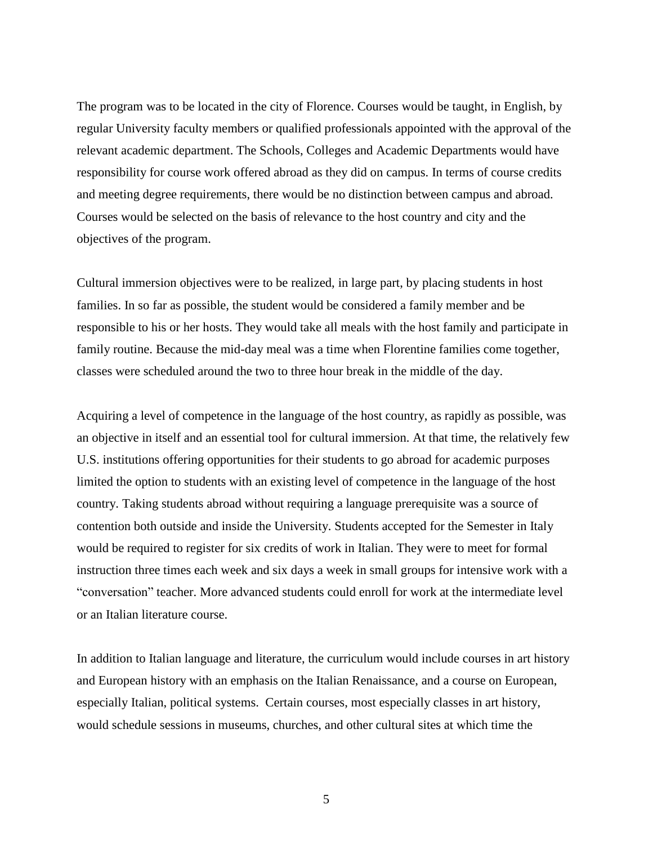The program was to be located in the city of Florence. Courses would be taught, in English, by regular University faculty members or qualified professionals appointed with the approval of the relevant academic department. The Schools, Colleges and Academic Departments would have responsibility for course work offered abroad as they did on campus. In terms of course credits and meeting degree requirements, there would be no distinction between campus and abroad. Courses would be selected on the basis of relevance to the host country and city and the objectives of the program.

Cultural immersion objectives were to be realized, in large part, by placing students in host families. In so far as possible, the student would be considered a family member and be responsible to his or her hosts. They would take all meals with the host family and participate in family routine. Because the mid-day meal was a time when Florentine families come together, classes were scheduled around the two to three hour break in the middle of the day.

Acquiring a level of competence in the language of the host country, as rapidly as possible, was an objective in itself and an essential tool for cultural immersion. At that time, the relatively few U.S. institutions offering opportunities for their students to go abroad for academic purposes limited the option to students with an existing level of competence in the language of the host country. Taking students abroad without requiring a language prerequisite was a source of contention both outside and inside the University. Students accepted for the Semester in Italy would be required to register for six credits of work in Italian. They were to meet for formal instruction three times each week and six days a week in small groups for intensive work with a "conversation" teacher. More advanced students could enroll for work at the intermediate level or an Italian literature course.

In addition to Italian language and literature, the curriculum would include courses in art history and European history with an emphasis on the Italian Renaissance, and a course on European, especially Italian, political systems. Certain courses, most especially classes in art history, would schedule sessions in museums, churches, and other cultural sites at which time the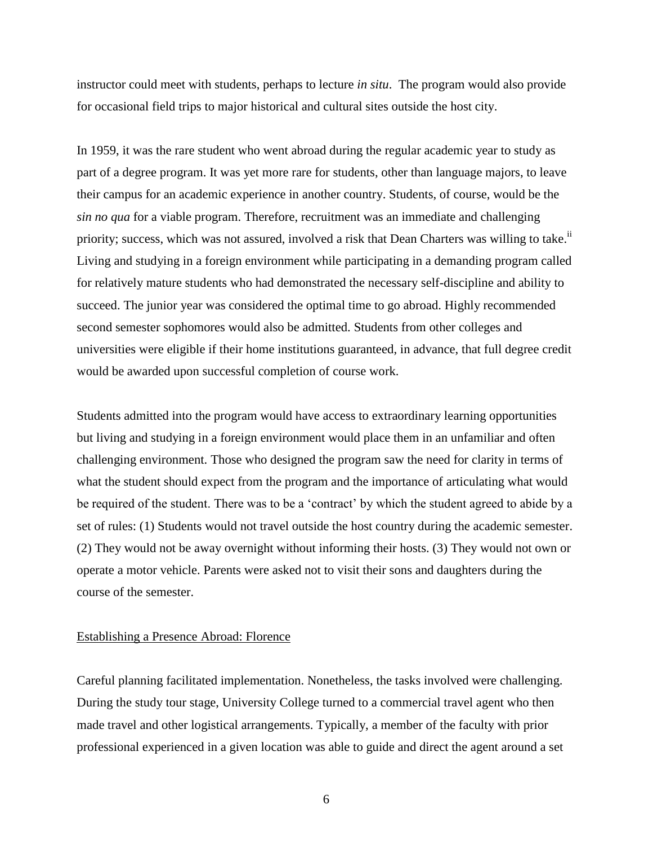instructor could meet with students, perhaps to lecture *in situ*. The program would also provide for occasional field trips to major historical and cultural sites outside the host city.

In 1959, it was the rare student who went abroad during the regular academic year to study as part of a degree program. It was yet more rare for students, other than language majors, to leave their campus for an academic experience in another country. Students, of course, would be the *sin no qua* for a viable program. Therefore, recruitment was an immediate and challenging priority; success, which was not assured, involved a risk that Dean Charters was willing to take.<sup>ii</sup> Living and studying in a foreign environment while participating in a demanding program called for relatively mature students who had demonstrated the necessary self-discipline and ability to succeed. The junior year was considered the optimal time to go abroad. Highly recommended second semester sophomores would also be admitted. Students from other colleges and universities were eligible if their home institutions guaranteed, in advance, that full degree credit would be awarded upon successful completion of course work.

Students admitted into the program would have access to extraordinary learning opportunities but living and studying in a foreign environment would place them in an unfamiliar and often challenging environment. Those who designed the program saw the need for clarity in terms of what the student should expect from the program and the importance of articulating what would be required of the student. There was to be a 'contract' by which the student agreed to abide by a set of rules: (1) Students would not travel outside the host country during the academic semester. (2) They would not be away overnight without informing their hosts. (3) They would not own or operate a motor vehicle. Parents were asked not to visit their sons and daughters during the course of the semester.

#### Establishing a Presence Abroad: Florence

Careful planning facilitated implementation. Nonetheless, the tasks involved were challenging. During the study tour stage, University College turned to a commercial travel agent who then made travel and other logistical arrangements. Typically, a member of the faculty with prior professional experienced in a given location was able to guide and direct the agent around a set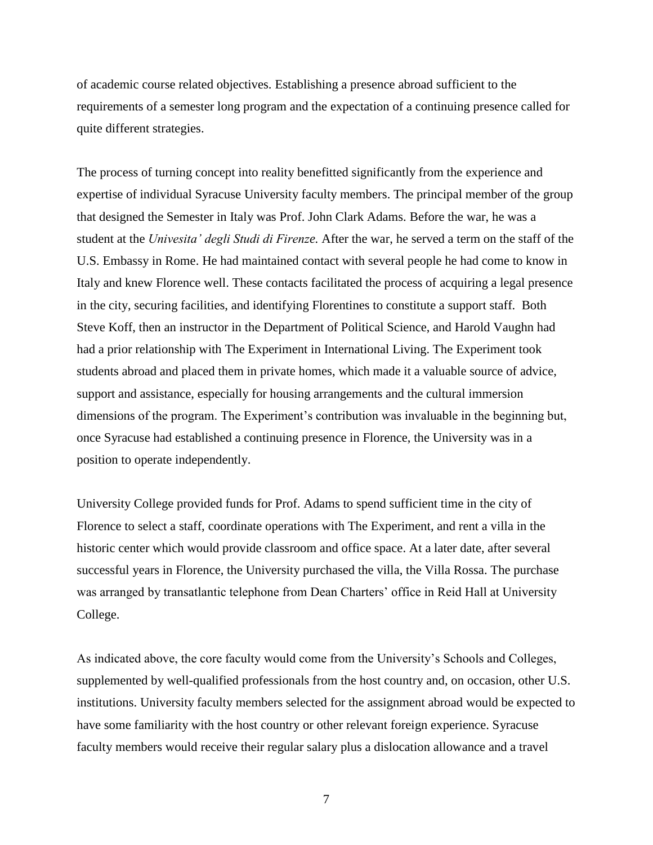of academic course related objectives. Establishing a presence abroad sufficient to the requirements of a semester long program and the expectation of a continuing presence called for quite different strategies.

The process of turning concept into reality benefitted significantly from the experience and expertise of individual Syracuse University faculty members. The principal member of the group that designed the Semester in Italy was Prof. John Clark Adams. Before the war, he was a student at the *Univesita' degli Studi di Firenze.* After the war, he served a term on the staff of the U.S. Embassy in Rome. He had maintained contact with several people he had come to know in Italy and knew Florence well. These contacts facilitated the process of acquiring a legal presence in the city, securing facilities, and identifying Florentines to constitute a support staff. Both Steve Koff, then an instructor in the Department of Political Science, and Harold Vaughn had had a prior relationship with The Experiment in International Living. The Experiment took students abroad and placed them in private homes, which made it a valuable source of advice, support and assistance, especially for housing arrangements and the cultural immersion dimensions of the program. The Experiment's contribution was invaluable in the beginning but, once Syracuse had established a continuing presence in Florence, the University was in a position to operate independently.

University College provided funds for Prof. Adams to spend sufficient time in the city of Florence to select a staff, coordinate operations with The Experiment, and rent a villa in the historic center which would provide classroom and office space. At a later date, after several successful years in Florence, the University purchased the villa, the Villa Rossa. The purchase was arranged by transatlantic telephone from Dean Charters' office in Reid Hall at University College.

As indicated above, the core faculty would come from the University's Schools and Colleges, supplemented by well-qualified professionals from the host country and, on occasion, other U.S. institutions. University faculty members selected for the assignment abroad would be expected to have some familiarity with the host country or other relevant foreign experience. Syracuse faculty members would receive their regular salary plus a dislocation allowance and a travel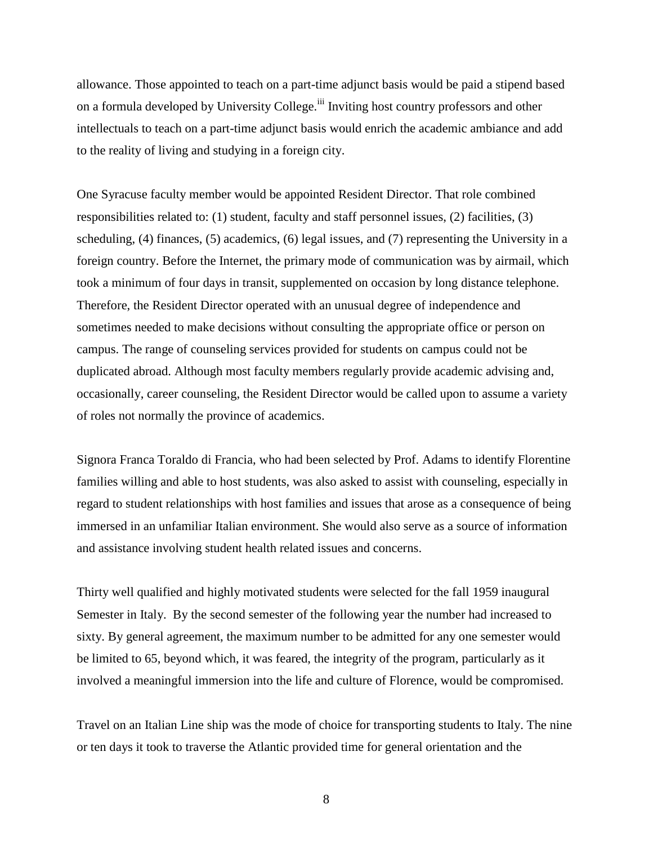allowance. Those appointed to teach on a part-time adjunct basis would be paid a stipend based on a formula developed by University College.<sup>iii</sup> Inviting host country professors and other intellectuals to teach on a part-time adjunct basis would enrich the academic ambiance and add to the reality of living and studying in a foreign city.

One Syracuse faculty member would be appointed Resident Director. That role combined responsibilities related to: (1) student, faculty and staff personnel issues, (2) facilities, (3) scheduling, (4) finances, (5) academics, (6) legal issues, and (7) representing the University in a foreign country. Before the Internet, the primary mode of communication was by airmail, which took a minimum of four days in transit, supplemented on occasion by long distance telephone. Therefore, the Resident Director operated with an unusual degree of independence and sometimes needed to make decisions without consulting the appropriate office or person on campus. The range of counseling services provided for students on campus could not be duplicated abroad. Although most faculty members regularly provide academic advising and, occasionally, career counseling, the Resident Director would be called upon to assume a variety of roles not normally the province of academics.

Signora Franca Toraldo di Francia, who had been selected by Prof. Adams to identify Florentine families willing and able to host students, was also asked to assist with counseling, especially in regard to student relationships with host families and issues that arose as a consequence of being immersed in an unfamiliar Italian environment. She would also serve as a source of information and assistance involving student health related issues and concerns.

Thirty well qualified and highly motivated students were selected for the fall 1959 inaugural Semester in Italy. By the second semester of the following year the number had increased to sixty. By general agreement, the maximum number to be admitted for any one semester would be limited to 65, beyond which, it was feared, the integrity of the program, particularly as it involved a meaningful immersion into the life and culture of Florence, would be compromised.

Travel on an Italian Line ship was the mode of choice for transporting students to Italy. The nine or ten days it took to traverse the Atlantic provided time for general orientation and the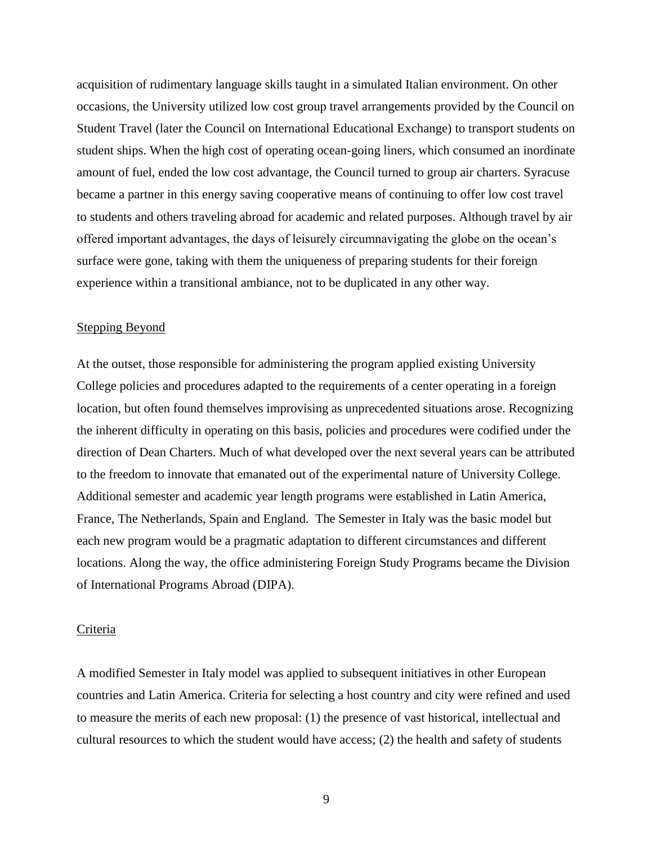acquisition of rudimentary language skills taught in a simulated Italian environment. On other occasions, the University utilized low cost group travel arrangements provided by the Council on Student Travel (later the Council on International Educational Exchange) to transport students on student ships. When the high cost of operating ocean-going liners, which consumed an inordinate amount of fuel, ended the low cost advantage, the Council turned to group air charters. Syracuse became a partner in this energy saving cooperative means of continuing to offer low cost travel to students and others traveling abroad for academic and related purposes. Although travel by air offered important advantages, the days of leisurely circumnavigating the globe on the ocean's surface were gone, taking with them the uniqueness of preparing students for their foreign experience within a transitional ambiance, not to be duplicated in any other way.

#### Stepping Beyond

At the outset, those responsible for administering the program applied existing University College policies and procedures adapted to the requirements of a center operating in a foreign location, but often found themselves improvising as unprecedented situations arose. Recognizing the inherent difficulty in operating on this basis, policies and procedures were codified under the direction of Dean Charters. Much of what developed over the next several years can be attributed to the freedom to innovate that emanated out of the experimental nature of University College. Additional semester and academic year length programs were established in Latin America, France, The Netherlands, Spain and England. The Semester in Italy was the basic model but each new program would be a pragmatic adaptation to different circumstances and different locations. Along the way, the office administering Foreign Study Programs became the Division of International Programs Abroad (DIPA).

## Criteria

A modified Semester in Italy model was applied to subsequent initiatives in other European countries and Latin America. Criteria for selecting a host country and city were refined and used to measure the merits of each new proposal: (1) the presence of vast historical, intellectual and cultural resources to which the student would have access; (2) the health and safety of students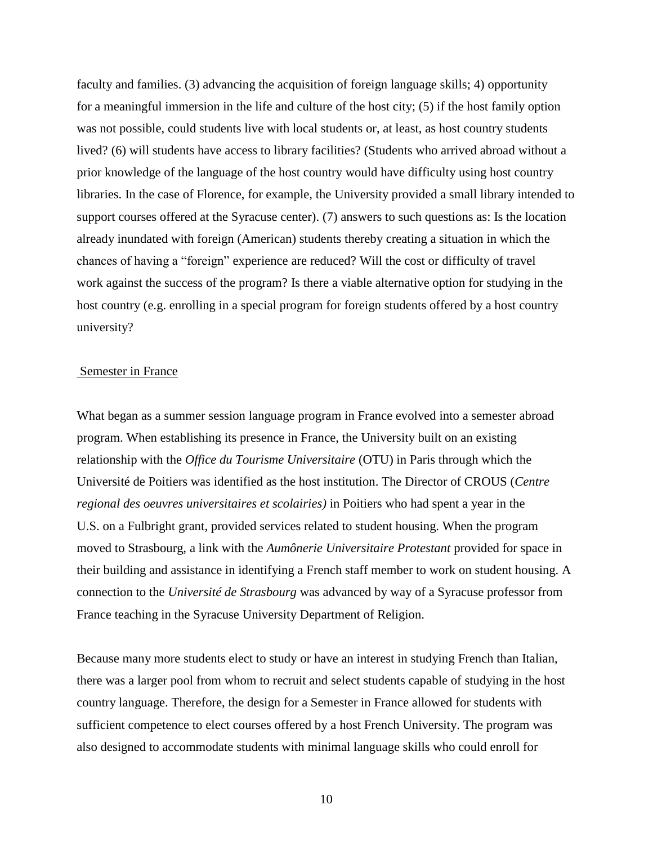faculty and families. (3) advancing the acquisition of foreign language skills; 4) opportunity for a meaningful immersion in the life and culture of the host city; (5) if the host family option was not possible, could students live with local students or, at least, as host country students lived? (6) will students have access to library facilities? (Students who arrived abroad without a prior knowledge of the language of the host country would have difficulty using host country libraries. In the case of Florence, for example, the University provided a small library intended to support courses offered at the Syracuse center). (7) answers to such questions as: Is the location already inundated with foreign (American) students thereby creating a situation in which the chances of having a "foreign" experience are reduced? Will the cost or difficulty of travel work against the success of the program? Is there a viable alternative option for studying in the host country (e.g. enrolling in a special program for foreign students offered by a host country university?

#### Semester in France

What began as a summer session language program in France evolved into a semester abroad program. When establishing its presence in France, the University built on an existing relationship with the *Office du Tourisme Universitaire* (OTU) in Paris through which the Université de Poitiers was identified as the host institution. The Director of CROUS (*Centre regional des oeuvres universitaires et scolairies)* in Poitiers who had spent a year in the U.S. on a Fulbright grant, provided services related to student housing. When the program moved to Strasbourg, a link with the *Aumônerie Universitaire Protestant* provided for space in their building and assistance in identifying a French staff member to work on student housing. A connection to the *Université de Strasbourg* was advanced by way of a Syracuse professor from France teaching in the Syracuse University Department of Religion.

Because many more students elect to study or have an interest in studying French than Italian, there was a larger pool from whom to recruit and select students capable of studying in the host country language. Therefore, the design for a Semester in France allowed for students with sufficient competence to elect courses offered by a host French University. The program was also designed to accommodate students with minimal language skills who could enroll for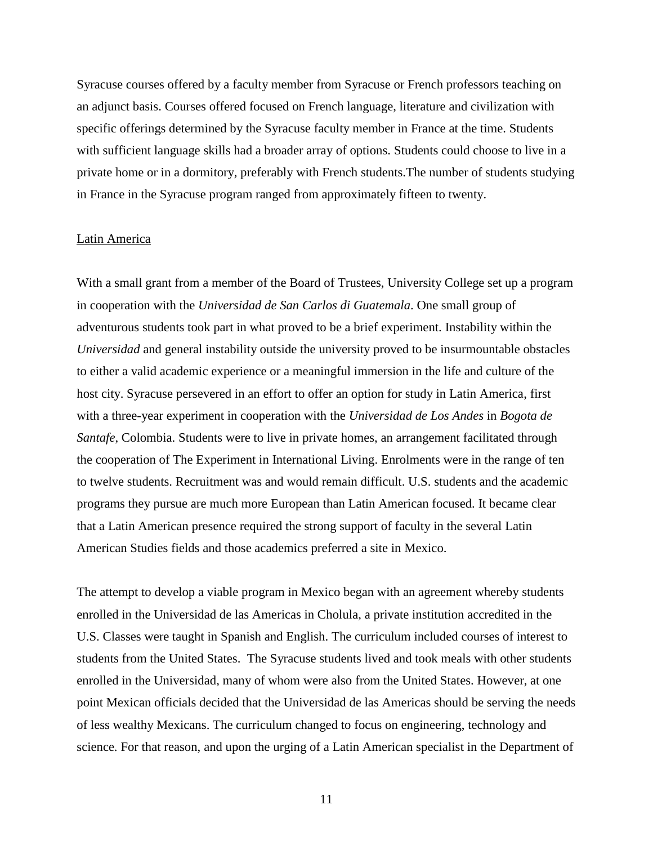Syracuse courses offered by a faculty member from Syracuse or French professors teaching on an adjunct basis. Courses offered focused on French language, literature and civilization with specific offerings determined by the Syracuse faculty member in France at the time. Students with sufficient language skills had a broader array of options. Students could choose to live in a private home or in a dormitory, preferably with French students.The number of students studying in France in the Syracuse program ranged from approximately fifteen to twenty.

#### Latin America

With a small grant from a member of the Board of Trustees, University College set up a program in cooperation with the *Universidad de San Carlos di Guatemala*. One small group of adventurous students took part in what proved to be a brief experiment. Instability within the *Universidad* and general instability outside the university proved to be insurmountable obstacles to either a valid academic experience or a meaningful immersion in the life and culture of the host city. Syracuse persevered in an effort to offer an option for study in Latin America, first with a three-year experiment in cooperation with the *Universidad de Los Andes* in *Bogota de Santafe*, Colombia. Students were to live in private homes, an arrangement facilitated through the cooperation of The Experiment in International Living. Enrolments were in the range of ten to twelve students. Recruitment was and would remain difficult. U.S. students and the academic programs they pursue are much more European than Latin American focused. It became clear that a Latin American presence required the strong support of faculty in the several Latin American Studies fields and those academics preferred a site in Mexico.

The attempt to develop a viable program in Mexico began with an agreement whereby students enrolled in the Universidad de las Americas in Cholula, a private institution accredited in the U.S. Classes were taught in Spanish and English. The curriculum included courses of interest to students from the United States. The Syracuse students lived and took meals with other students enrolled in the Universidad, many of whom were also from the United States. However, at one point Mexican officials decided that the Universidad de las Americas should be serving the needs of less wealthy Mexicans. The curriculum changed to focus on engineering, technology and science. For that reason, and upon the urging of a Latin American specialist in the Department of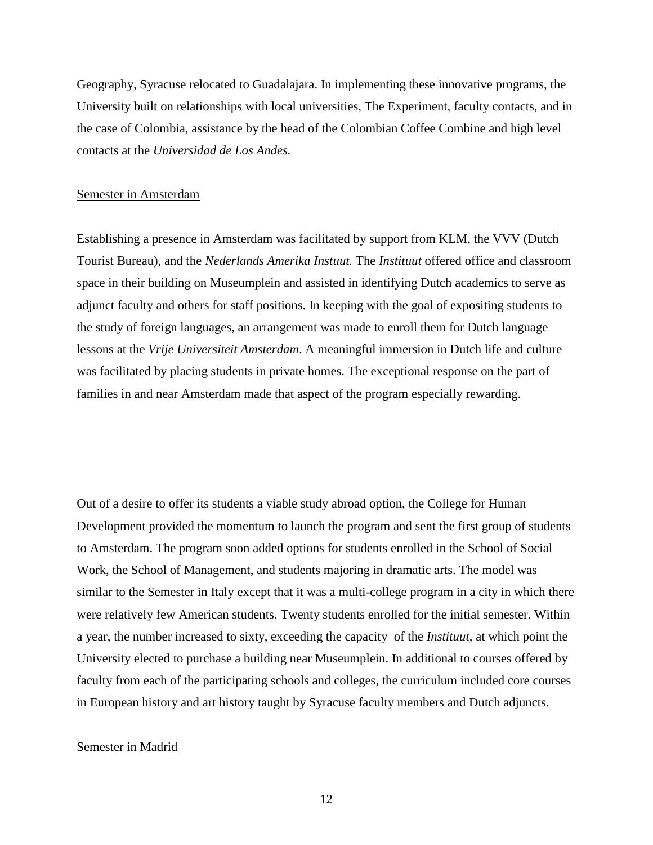Geography, Syracuse relocated to Guadalajara. In implementing these innovative programs, the University built on relationships with local universities, The Experiment, faculty contacts, and in the case of Colombia, assistance by the head of the Colombian Coffee Combine and high level contacts at the *Universidad de Los Andes.* 

#### Semester in Amsterdam

Establishing a presence in Amsterdam was facilitated by support from KLM, the VVV (Dutch Tourist Bureau), and the *Nederlands Amerika Instuut.* The *Instituut* offered office and classroom space in their building on Museumplein and assisted in identifying Dutch academics to serve as adjunct faculty and others for staff positions. In keeping with the goal of expositing students to the study of foreign languages, an arrangement was made to enroll them for Dutch language lessons at the *Vrije Universiteit Amsterdam*. A meaningful immersion in Dutch life and culture was facilitated by placing students in private homes. The exceptional response on the part of families in and near Amsterdam made that aspect of the program especially rewarding.

Out of a desire to offer its students a viable study abroad option, the College for Human Development provided the momentum to launch the program and sent the first group of students to Amsterdam. The program soon added options for students enrolled in the School of Social Work, the School of Management, and students majoring in dramatic arts. The model was similar to the Semester in Italy except that it was a multi-college program in a city in which there were relatively few American students. Twenty students enrolled for the initial semester. Within a year, the number increased to sixty, exceeding the capacity of the *Instituut,* at which point the University elected to purchase a building near Museumplein. In additional to courses offered by faculty from each of the participating schools and colleges, the curriculum included core courses in European history and art history taught by Syracuse faculty members and Dutch adjuncts.

#### Semester in Madrid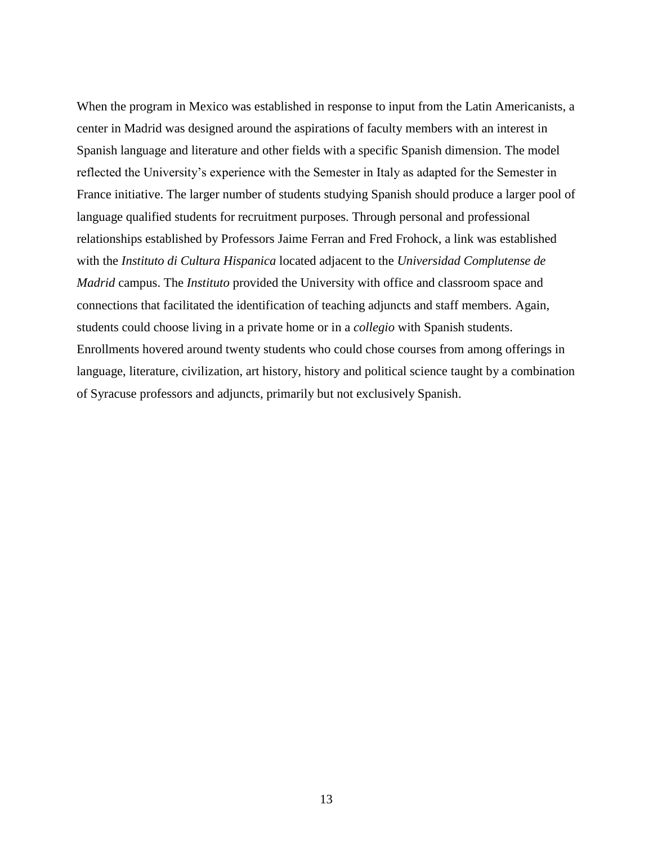When the program in Mexico was established in response to input from the Latin Americanists, a center in Madrid was designed around the aspirations of faculty members with an interest in Spanish language and literature and other fields with a specific Spanish dimension. The model reflected the University's experience with the Semester in Italy as adapted for the Semester in France initiative. The larger number of students studying Spanish should produce a larger pool of language qualified students for recruitment purposes. Through personal and professional relationships established by Professors Jaime Ferran and Fred Frohock, a link was established with the *Instituto di Cultura Hispanica* located adjacent to the *Universidad Complutense de Madrid* campus. The *Instituto* provided the University with office and classroom space and connections that facilitated the identification of teaching adjuncts and staff members. Again, students could choose living in a private home or in a *collegio* with Spanish students. Enrollments hovered around twenty students who could chose courses from among offerings in language, literature, civilization, art history, history and political science taught by a combination of Syracuse professors and adjuncts, primarily but not exclusively Spanish.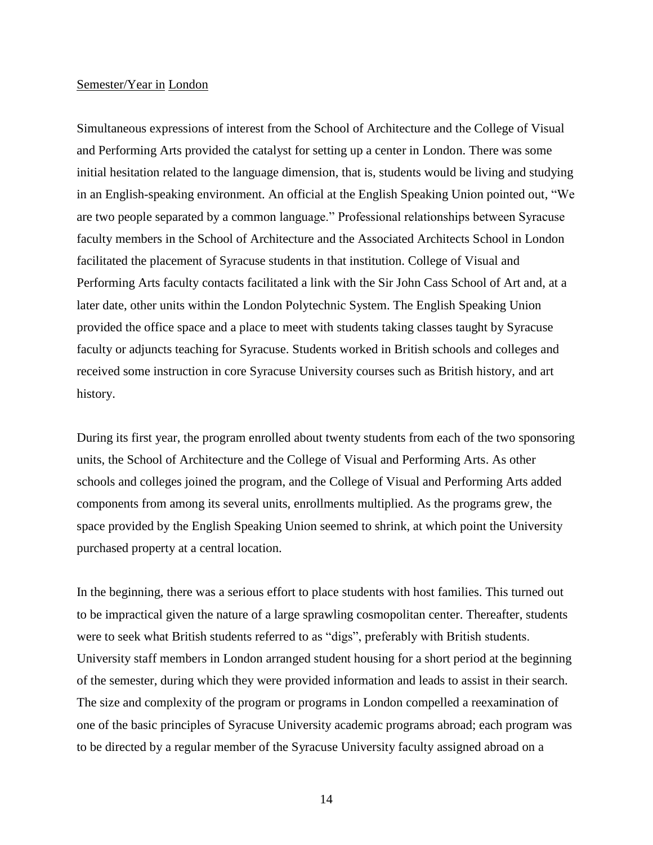### Semester/Year in London

Simultaneous expressions of interest from the School of Architecture and the College of Visual and Performing Arts provided the catalyst for setting up a center in London. There was some initial hesitation related to the language dimension, that is, students would be living and studying in an English-speaking environment. An official at the English Speaking Union pointed out, "We are two people separated by a common language." Professional relationships between Syracuse faculty members in the School of Architecture and the Associated Architects School in London facilitated the placement of Syracuse students in that institution. College of Visual and Performing Arts faculty contacts facilitated a link with the Sir John Cass School of Art and, at a later date, other units within the London Polytechnic System. The English Speaking Union provided the office space and a place to meet with students taking classes taught by Syracuse faculty or adjuncts teaching for Syracuse. Students worked in British schools and colleges and received some instruction in core Syracuse University courses such as British history, and art history.

During its first year, the program enrolled about twenty students from each of the two sponsoring units, the School of Architecture and the College of Visual and Performing Arts. As other schools and colleges joined the program, and the College of Visual and Performing Arts added components from among its several units, enrollments multiplied. As the programs grew, the space provided by the English Speaking Union seemed to shrink, at which point the University purchased property at a central location.

In the beginning, there was a serious effort to place students with host families. This turned out to be impractical given the nature of a large sprawling cosmopolitan center. Thereafter, students were to seek what British students referred to as "digs", preferably with British students. University staff members in London arranged student housing for a short period at the beginning of the semester, during which they were provided information and leads to assist in their search. The size and complexity of the program or programs in London compelled a reexamination of one of the basic principles of Syracuse University academic programs abroad; each program was to be directed by a regular member of the Syracuse University faculty assigned abroad on a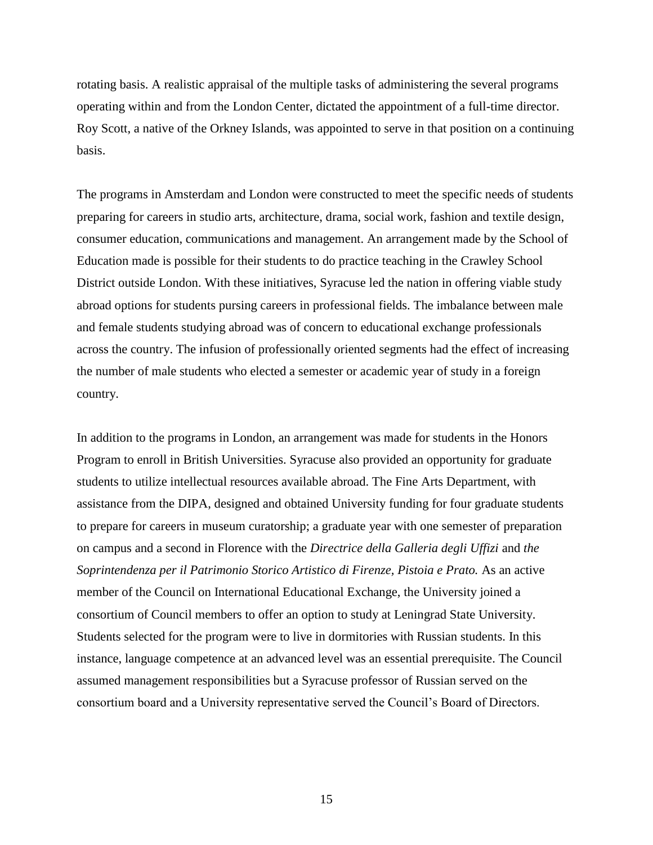rotating basis. A realistic appraisal of the multiple tasks of administering the several programs operating within and from the London Center, dictated the appointment of a full-time director. Roy Scott, a native of the Orkney Islands, was appointed to serve in that position on a continuing basis.

The programs in Amsterdam and London were constructed to meet the specific needs of students preparing for careers in studio arts, architecture, drama, social work, fashion and textile design, consumer education, communications and management. An arrangement made by the School of Education made is possible for their students to do practice teaching in the Crawley School District outside London. With these initiatives, Syracuse led the nation in offering viable study abroad options for students pursing careers in professional fields. The imbalance between male and female students studying abroad was of concern to educational exchange professionals across the country. The infusion of professionally oriented segments had the effect of increasing the number of male students who elected a semester or academic year of study in a foreign country.

In addition to the programs in London, an arrangement was made for students in the Honors Program to enroll in British Universities. Syracuse also provided an opportunity for graduate students to utilize intellectual resources available abroad. The Fine Arts Department, with assistance from the DIPA, designed and obtained University funding for four graduate students to prepare for careers in museum curatorship; a graduate year with one semester of preparation on campus and a second in Florence with the *Directrice della Galleria degli Uffizi* and *the Soprintendenza per il Patrimonio Storico Artistico di Firenze, Pistoia e Prato.* As an active member of the Council on International Educational Exchange, the University joined a consortium of Council members to offer an option to study at Leningrad State University. Students selected for the program were to live in dormitories with Russian students. In this instance, language competence at an advanced level was an essential prerequisite. The Council assumed management responsibilities but a Syracuse professor of Russian served on the consortium board and a University representative served the Council's Board of Directors.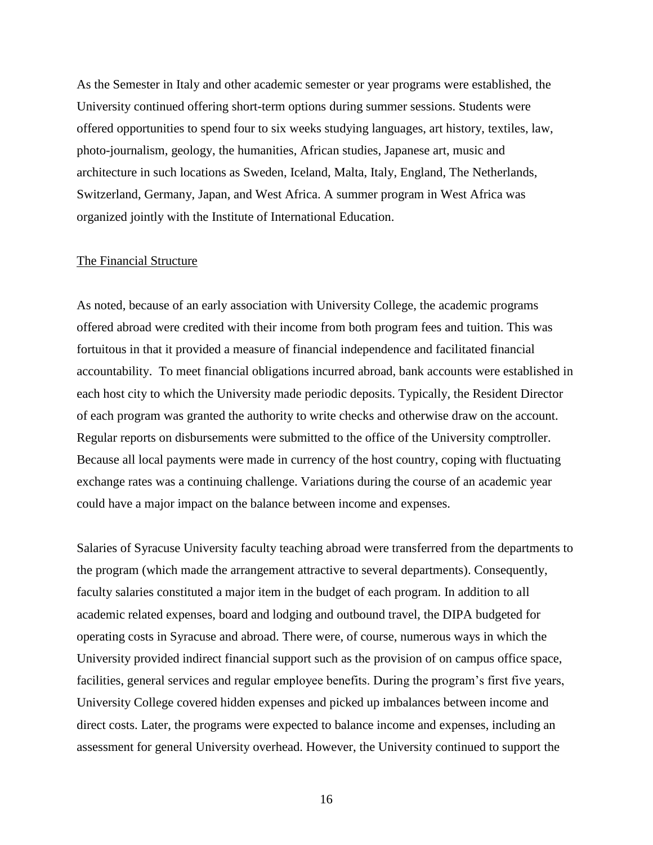As the Semester in Italy and other academic semester or year programs were established, the University continued offering short-term options during summer sessions. Students were offered opportunities to spend four to six weeks studying languages, art history, textiles, law, photo-journalism, geology, the humanities, African studies, Japanese art, music and architecture in such locations as Sweden, Iceland, Malta, Italy, England, The Netherlands, Switzerland, Germany, Japan, and West Africa. A summer program in West Africa was organized jointly with the Institute of International Education.

#### The Financial Structure

As noted, because of an early association with University College, the academic programs offered abroad were credited with their income from both program fees and tuition. This was fortuitous in that it provided a measure of financial independence and facilitated financial accountability. To meet financial obligations incurred abroad, bank accounts were established in each host city to which the University made periodic deposits. Typically, the Resident Director of each program was granted the authority to write checks and otherwise draw on the account. Regular reports on disbursements were submitted to the office of the University comptroller. Because all local payments were made in currency of the host country, coping with fluctuating exchange rates was a continuing challenge. Variations during the course of an academic year could have a major impact on the balance between income and expenses.

Salaries of Syracuse University faculty teaching abroad were transferred from the departments to the program (which made the arrangement attractive to several departments). Consequently, faculty salaries constituted a major item in the budget of each program. In addition to all academic related expenses, board and lodging and outbound travel, the DIPA budgeted for operating costs in Syracuse and abroad. There were, of course, numerous ways in which the University provided indirect financial support such as the provision of on campus office space, facilities, general services and regular employee benefits. During the program's first five years, University College covered hidden expenses and picked up imbalances between income and direct costs. Later, the programs were expected to balance income and expenses, including an assessment for general University overhead. However, the University continued to support the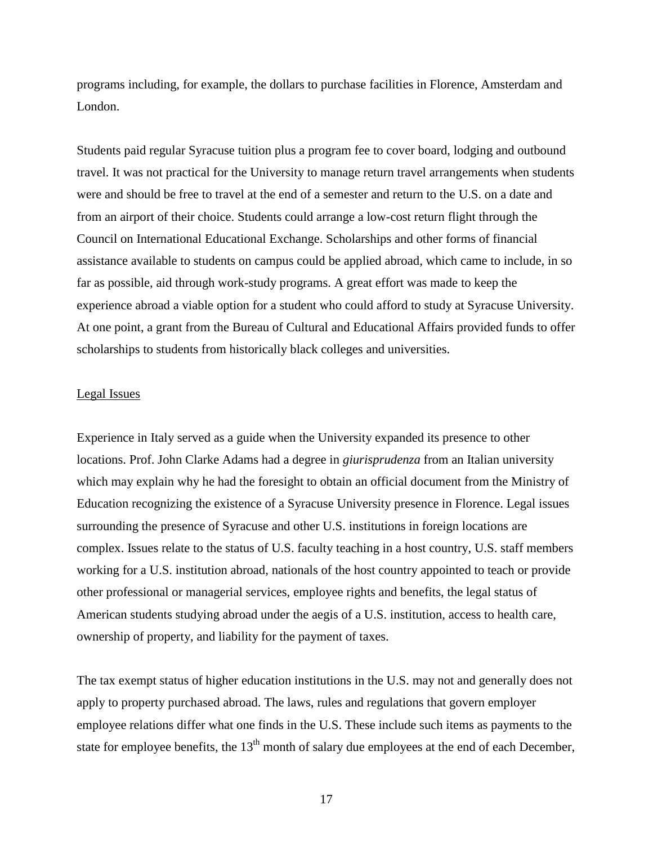programs including, for example, the dollars to purchase facilities in Florence, Amsterdam and London.

Students paid regular Syracuse tuition plus a program fee to cover board, lodging and outbound travel. It was not practical for the University to manage return travel arrangements when students were and should be free to travel at the end of a semester and return to the U.S. on a date and from an airport of their choice. Students could arrange a low-cost return flight through the Council on International Educational Exchange. Scholarships and other forms of financial assistance available to students on campus could be applied abroad, which came to include, in so far as possible, aid through work-study programs. A great effort was made to keep the experience abroad a viable option for a student who could afford to study at Syracuse University. At one point, a grant from the Bureau of Cultural and Educational Affairs provided funds to offer scholarships to students from historically black colleges and universities.

#### Legal Issues

Experience in Italy served as a guide when the University expanded its presence to other locations. Prof. John Clarke Adams had a degree in *giurisprudenza* from an Italian university which may explain why he had the foresight to obtain an official document from the Ministry of Education recognizing the existence of a Syracuse University presence in Florence. Legal issues surrounding the presence of Syracuse and other U.S. institutions in foreign locations are complex. Issues relate to the status of U.S. faculty teaching in a host country, U.S. staff members working for a U.S. institution abroad, nationals of the host country appointed to teach or provide other professional or managerial services, employee rights and benefits, the legal status of American students studying abroad under the aegis of a U.S. institution, access to health care, ownership of property, and liability for the payment of taxes.

The tax exempt status of higher education institutions in the U.S. may not and generally does not apply to property purchased abroad. The laws, rules and regulations that govern employer employee relations differ what one finds in the U.S. These include such items as payments to the state for employee benefits, the 13<sup>th</sup> month of salary due employees at the end of each December,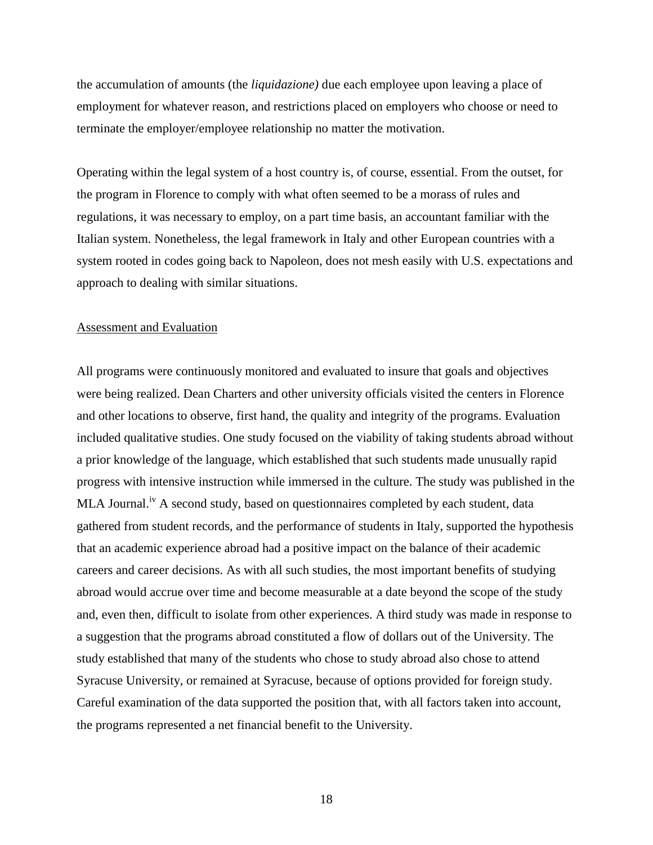the accumulation of amounts (the *liquidazione)* due each employee upon leaving a place of employment for whatever reason, and restrictions placed on employers who choose or need to terminate the employer/employee relationship no matter the motivation.

Operating within the legal system of a host country is, of course, essential. From the outset, for the program in Florence to comply with what often seemed to be a morass of rules and regulations, it was necessary to employ, on a part time basis, an accountant familiar with the Italian system. Nonetheless, the legal framework in Italy and other European countries with a system rooted in codes going back to Napoleon, does not mesh easily with U.S. expectations and approach to dealing with similar situations.

#### Assessment and Evaluation

All programs were continuously monitored and evaluated to insure that goals and objectives were being realized. Dean Charters and other university officials visited the centers in Florence and other locations to observe, first hand, the quality and integrity of the programs. Evaluation included qualitative studies. One study focused on the viability of taking students abroad without a prior knowledge of the language, which established that such students made unusually rapid progress with intensive instruction while immersed in the culture. The study was published in the MLA Journal.<sup>iv</sup> A second study, based on questionnaires completed by each student, data gathered from student records, and the performance of students in Italy, supported the hypothesis that an academic experience abroad had a positive impact on the balance of their academic careers and career decisions. As with all such studies, the most important benefits of studying abroad would accrue over time and become measurable at a date beyond the scope of the study and, even then, difficult to isolate from other experiences. A third study was made in response to a suggestion that the programs abroad constituted a flow of dollars out of the University. The study established that many of the students who chose to study abroad also chose to attend Syracuse University, or remained at Syracuse, because of options provided for foreign study. Careful examination of the data supported the position that, with all factors taken into account, the programs represented a net financial benefit to the University.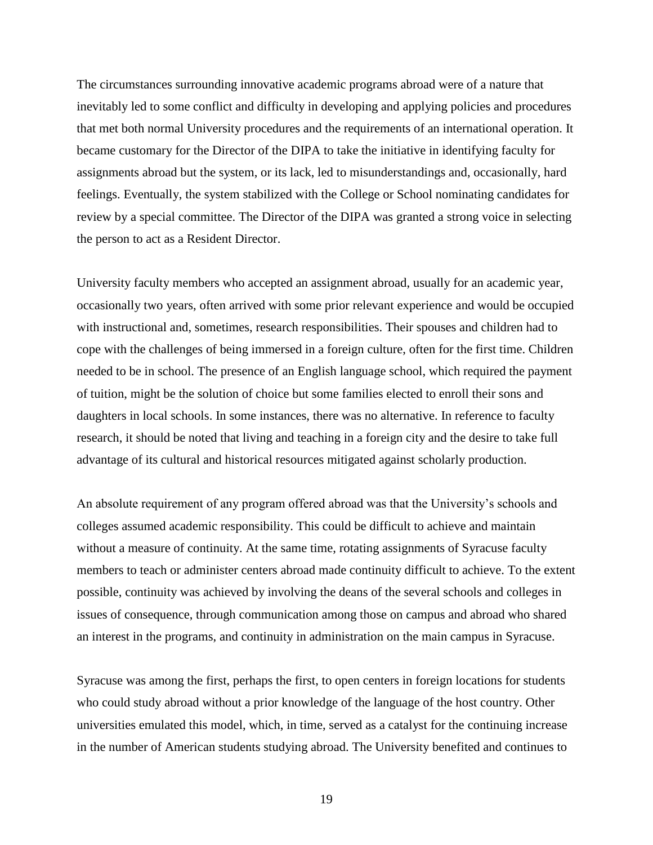The circumstances surrounding innovative academic programs abroad were of a nature that inevitably led to some conflict and difficulty in developing and applying policies and procedures that met both normal University procedures and the requirements of an international operation. It became customary for the Director of the DIPA to take the initiative in identifying faculty for assignments abroad but the system, or its lack, led to misunderstandings and, occasionally, hard feelings. Eventually, the system stabilized with the College or School nominating candidates for review by a special committee. The Director of the DIPA was granted a strong voice in selecting the person to act as a Resident Director.

University faculty members who accepted an assignment abroad, usually for an academic year, occasionally two years, often arrived with some prior relevant experience and would be occupied with instructional and, sometimes, research responsibilities. Their spouses and children had to cope with the challenges of being immersed in a foreign culture, often for the first time. Children needed to be in school. The presence of an English language school, which required the payment of tuition, might be the solution of choice but some families elected to enroll their sons and daughters in local schools. In some instances, there was no alternative. In reference to faculty research, it should be noted that living and teaching in a foreign city and the desire to take full advantage of its cultural and historical resources mitigated against scholarly production.

An absolute requirement of any program offered abroad was that the University's schools and colleges assumed academic responsibility. This could be difficult to achieve and maintain without a measure of continuity. At the same time, rotating assignments of Syracuse faculty members to teach or administer centers abroad made continuity difficult to achieve. To the extent possible, continuity was achieved by involving the deans of the several schools and colleges in issues of consequence, through communication among those on campus and abroad who shared an interest in the programs, and continuity in administration on the main campus in Syracuse.

Syracuse was among the first, perhaps the first, to open centers in foreign locations for students who could study abroad without a prior knowledge of the language of the host country. Other universities emulated this model, which, in time, served as a catalyst for the continuing increase in the number of American students studying abroad. The University benefited and continues to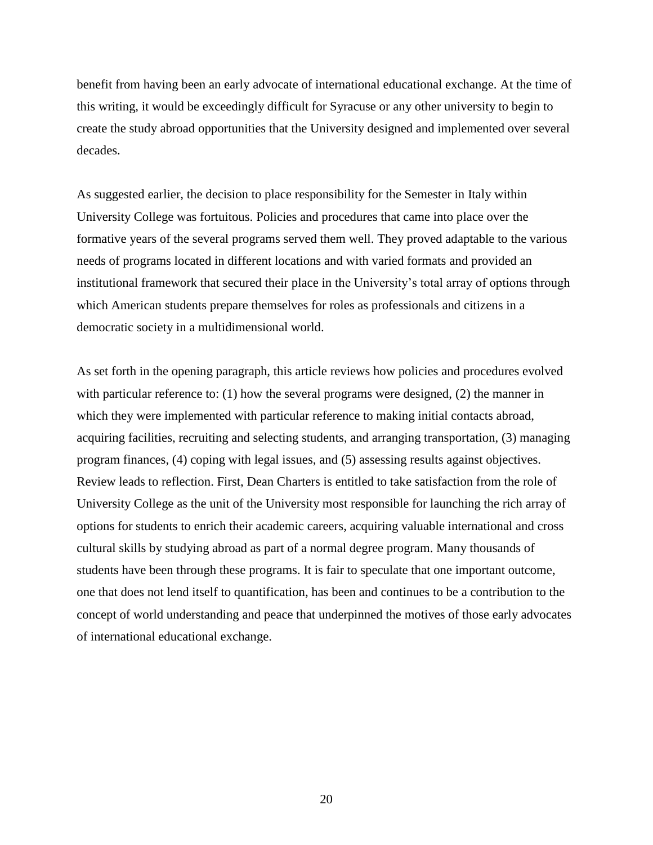benefit from having been an early advocate of international educational exchange. At the time of this writing, it would be exceedingly difficult for Syracuse or any other university to begin to create the study abroad opportunities that the University designed and implemented over several decades.

As suggested earlier, the decision to place responsibility for the Semester in Italy within University College was fortuitous. Policies and procedures that came into place over the formative years of the several programs served them well. They proved adaptable to the various needs of programs located in different locations and with varied formats and provided an institutional framework that secured their place in the University's total array of options through which American students prepare themselves for roles as professionals and citizens in a democratic society in a multidimensional world.

As set forth in the opening paragraph, this article reviews how policies and procedures evolved with particular reference to: (1) how the several programs were designed, (2) the manner in which they were implemented with particular reference to making initial contacts abroad, acquiring facilities, recruiting and selecting students, and arranging transportation, (3) managing program finances, (4) coping with legal issues, and (5) assessing results against objectives. Review leads to reflection. First, Dean Charters is entitled to take satisfaction from the role of University College as the unit of the University most responsible for launching the rich array of options for students to enrich their academic careers, acquiring valuable international and cross cultural skills by studying abroad as part of a normal degree program. Many thousands of students have been through these programs. It is fair to speculate that one important outcome, one that does not lend itself to quantification, has been and continues to be a contribution to the concept of world understanding and peace that underpinned the motives of those early advocates of international educational exchange.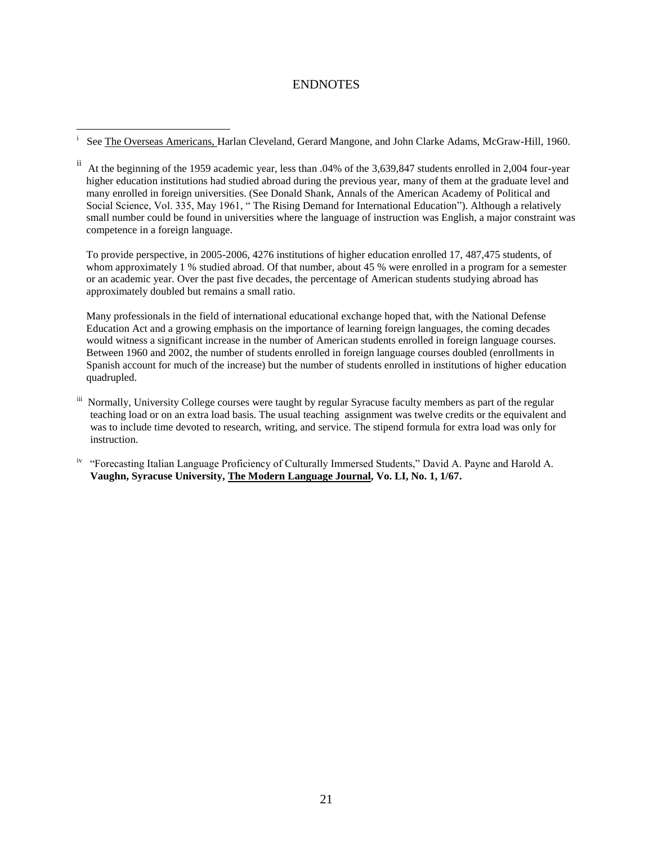## ENDNOTES

 $\overline{a}$ i

To provide perspective, in 2005-2006, 4276 institutions of higher education enrolled 17, 487,475 students, of whom approximately 1 % studied abroad. Of that number, about 45 % were enrolled in a program for a semester or an academic year. Over the past five decades, the percentage of American students studying abroad has approximately doubled but remains a small ratio.

Many professionals in the field of international educational exchange hoped that, with the National Defense Education Act and a growing emphasis on the importance of learning foreign languages, the coming decades would witness a significant increase in the number of American students enrolled in foreign language courses. Between 1960 and 2002, the number of students enrolled in foreign language courses doubled (enrollments in Spanish account for much of the increase) but the number of students enrolled in institutions of higher education quadrupled.

- iii Normally, University College courses were taught by regular Syracuse faculty members as part of the regular teaching load or on an extra load basis. The usual teaching assignment was twelve credits or the equivalent and was to include time devoted to research, writing, and service. The stipend formula for extra load was only for instruction.
- <sup>iv</sup> "Forecasting Italian Language Proficiency of Culturally Immersed Students," David A. Payne and Harold A.  **Vaughn, Syracuse University, The Modern Language Journal, Vo. LI, No. 1, 1/67.**

See The Overseas Americans, Harlan Cleveland, Gerard Mangone, and John Clarke Adams, McGraw-Hill, 1960.

ii At the beginning of the 1959 academic year, less than .04% of the 3,639,847 students enrolled in 2,004 four-year higher education institutions had studied abroad during the previous year, many of them at the graduate level and many enrolled in foreign universities. (See Donald Shank, Annals of the American Academy of Political and Social Science, Vol. 335, May 1961, " The Rising Demand for International Education"). Although a relatively small number could be found in universities where the language of instruction was English, a major constraint was competence in a foreign language.